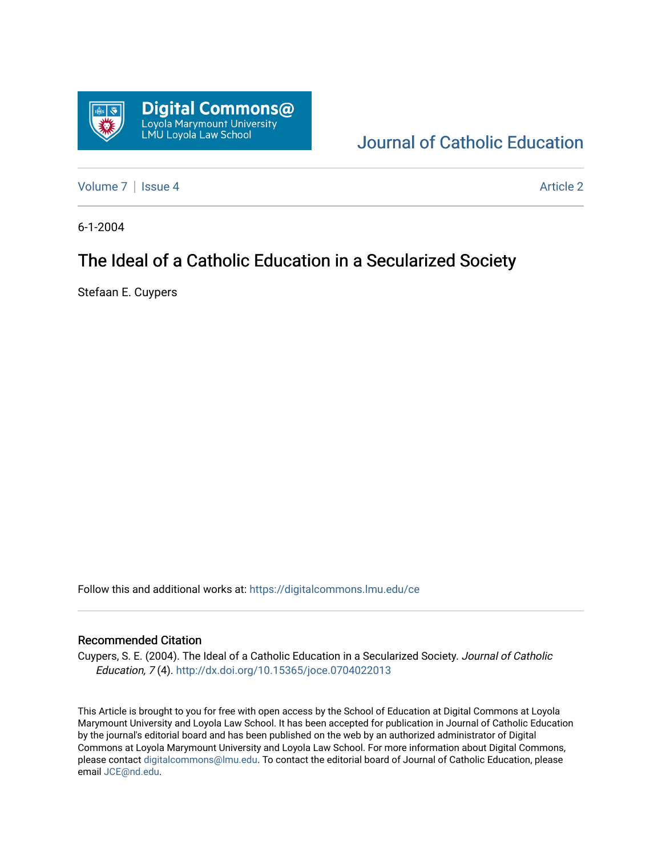

# [Journal of Catholic Education](https://digitalcommons.lmu.edu/ce)

[Volume 7](https://digitalcommons.lmu.edu/ce/vol7) | [Issue 4](https://digitalcommons.lmu.edu/ce/vol7/iss4) Article 2

6-1-2004

# The Ideal of a Catholic Education in a Secularized Society

Stefaan E. Cuypers

Follow this and additional works at: [https://digitalcommons.lmu.edu/ce](https://digitalcommons.lmu.edu/ce?utm_source=digitalcommons.lmu.edu%2Fce%2Fvol7%2Fiss4%2F2&utm_medium=PDF&utm_campaign=PDFCoverPages)

#### Recommended Citation

Cuypers, S. E. (2004). The Ideal of a Catholic Education in a Secularized Society. Journal of Catholic Education, 7 (4). <http://dx.doi.org/10.15365/joce.0704022013>

This Article is brought to you for free with open access by the School of Education at Digital Commons at Loyola Marymount University and Loyola Law School. It has been accepted for publication in Journal of Catholic Education by the journal's editorial board and has been published on the web by an authorized administrator of Digital Commons at Loyola Marymount University and Loyola Law School. For more information about Digital Commons, please contact [digitalcommons@lmu.edu](mailto:digitalcommons@lmu.edu). To contact the editorial board of Journal of Catholic Education, please email [JCE@nd.edu](mailto:JCE@nd.edu).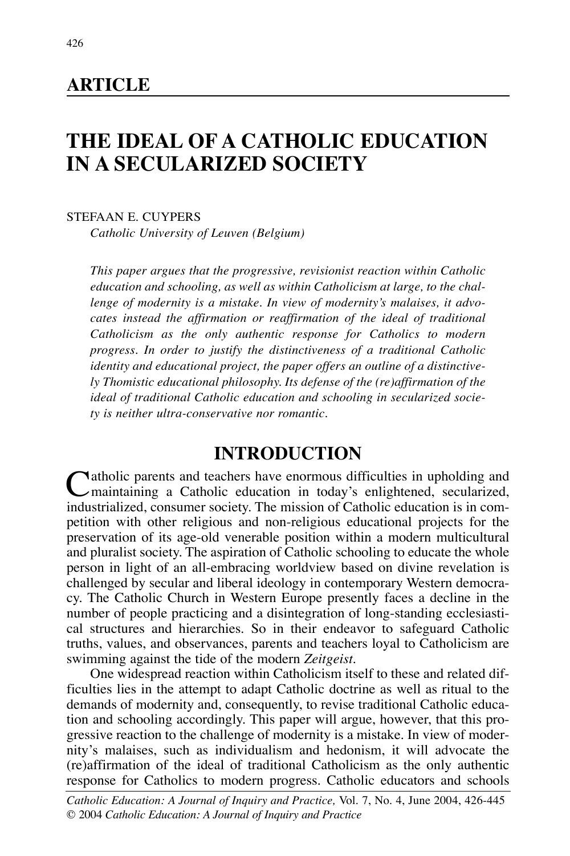## **ARTICLE**

# **THE IDEAL OF A CATHOLIC EDUCATION IN A SECULARIZED SOCIETY**

STEFAAN E. CUYPERS

*Catholic University of Leuven (Belgium)*

*This paper argues that the progressive, revisionist reaction within Catholic education and schooling, as well as within Catholicism at large, to the challenge of modernity is a mistake. In view of modernity's malaises, it advocates instead the affirmation or reaffirmation of the ideal of traditional Catholicism as the only authentic response for Catholics to modern progress. In order to justify the distinctiveness of a traditional Catholic identity and educational project, the paper offers an outline of a distinctively Thomistic educational philosophy. Its defense of the (re)affirmation of the ideal of traditional Catholic education and schooling in secularized society is neither ultra-conservative nor romantic.*

# **INTRODUCTION**

 $\bigcap$  atholic parents and teachers have enormous difficulties in upholding and maintaining a Catholic education in today's enlightened, secularized, industrialized, consumer society. The mission of Catholic education is in competition with other religious and non-religious educational projects for the preservation of its age-old venerable position within a modern multicultural and pluralist society. The aspiration of Catholic schooling to educate the whole person in light of an all-embracing worldview based on divine revelation is challenged by secular and liberal ideology in contemporary Western democracy. The Catholic Church in Western Europe presently faces a decline in the number of people practicing and a disintegration of long-standing ecclesiastical structures and hierarchies. So in their endeavor to safeguard Catholic truths, values, and observances, parents and teachers loyal to Catholicism are swimming against the tide of the modern *Zeitgeist*.

One widespread reaction within Catholicism itself to these and related difficulties lies in the attempt to adapt Catholic doctrine as well as ritual to the demands of modernity and, consequently, to revise traditional Catholic education and schooling accordingly. This paper will argue, however, that this progressive reaction to the challenge of modernity is a mistake. In view of modernity's malaises, such as individualism and hedonism, it will advocate the (re)affirmation of the ideal of traditional Catholicism as the only authentic response for Catholics to modern progress. Catholic educators and schools

*Catholic Education: A Journal of Inquiry and Practice,* Vol. 7, No. 4, June 2004, 426-445 © 2004 *Catholic Education: A Journal of Inquiry and Practice*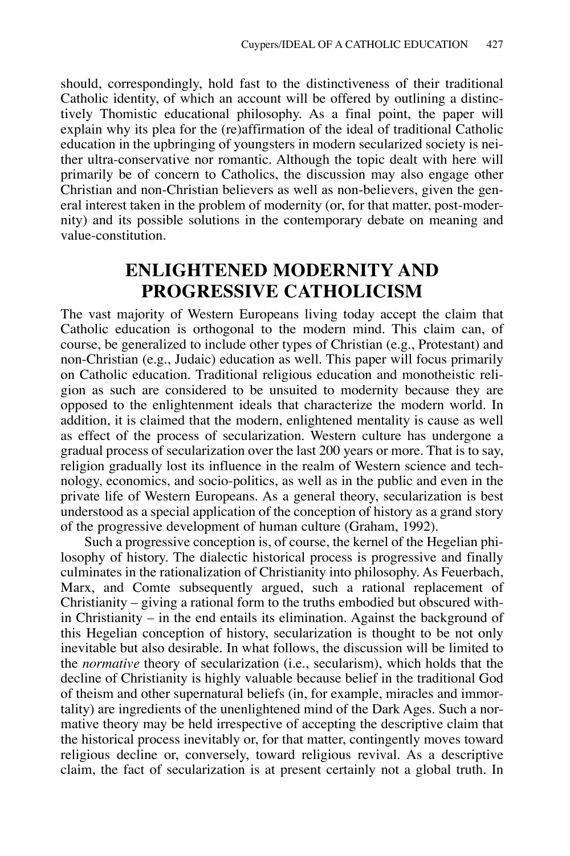should, correspondingly, hold fast to the distinctiveness of their traditional Catholic identity, of which an account will be offered by outlining a distinctively Thomistic educational philosophy. As a final point, the paper will explain why its plea for the (re)affirmation of the ideal of traditional Catholic education in the upbringing of youngsters in modern secularized society is neither ultra-conservative nor romantic. Although the topic dealt with here will primarily be of concern to Catholics, the discussion may also engage other Christian and non-Christian believers as well as non-believers, given the general interest taken in the problem of modernity (or, for that matter, post-modernity) and its possible solutions in the contemporary debate on meaning and value-constitution.

# **ENLIGHTENED MODERNITY AND PROGRESSIVE CATHOLICISM**

The vast majority of Western Europeans living today accept the claim that Catholic education is orthogonal to the modern mind. This claim can, of course, be generalized to include other types of Christian (e.g., Protestant) and non-Christian (e.g., Judaic) education as well. This paper will focus primarily on Catholic education. Traditional religious education and monotheistic religion as such are considered to be unsuited to modernity because they are opposed to the enlightenment ideals that characterize the modern world. In addition, it is claimed that the modern, enlightened mentality is cause as well as effect of the process of secularization. Western culture has undergone a gradual process of secularization over the last 200 years or more. That is to say, religion gradually lost its influence in the realm of Western science and technology, economics, and socio-politics, as well as in the public and even in the private life of Western Europeans. As a general theory, secularization is best understood as a special application of the conception of history as a grand story of the progressive development of human culture (Graham, 1992).

Such a progressive conception is, of course, the kernel of the Hegelian philosophy of history. The dialectic historical process is progressive and finally culminates in the rationalization of Christianity into philosophy. As Feuerbach, Marx, and Comte subsequently argued, such a rational replacement of Christianity – giving a rational form to the truths embodied but obscured within Christianity – in the end entails its elimination. Against the background of this Hegelian conception of history, secularization is thought to be not only inevitable but also desirable. In what follows, the discussion will be limited to the *normative* theory of secularization (i.e., secularism), which holds that the decline of Christianity is highly valuable because belief in the traditional God of theism and other supernatural beliefs (in, for example, miracles and immortality) are ingredients of the unenlightened mind of the Dark Ages. Such a normative theory may be held irrespective of accepting the descriptive claim that the historical process inevitably or, for that matter, contingently moves toward religious decline or, conversely, toward religious revival. As a descriptive claim, the fact of secularization is at present certainly not a global truth. In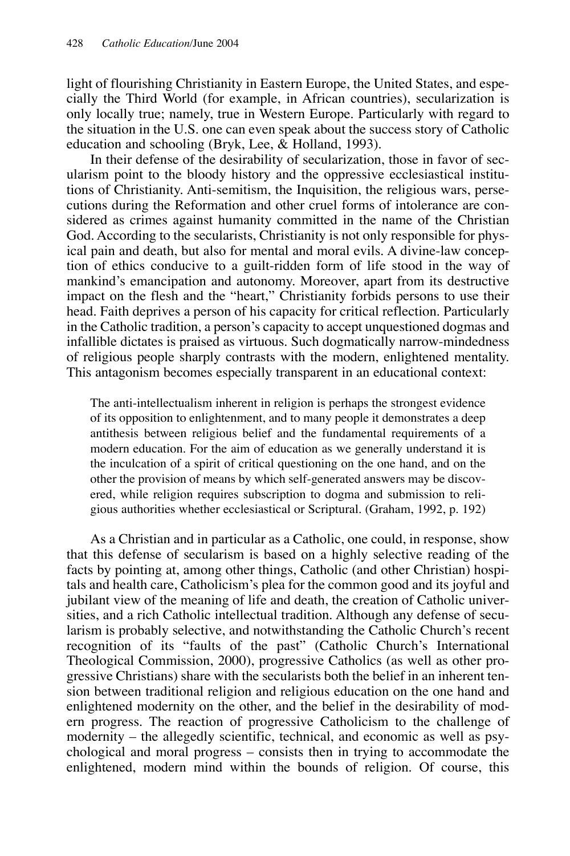light of flourishing Christianity in Eastern Europe, the United States, and especially the Third World (for example, in African countries), secularization is only locally true; namely, true in Western Europe. Particularly with regard to the situation in the U.S. one can even speak about the success story of Catholic education and schooling (Bryk, Lee, & Holland, 1993).

In their defense of the desirability of secularization, those in favor of secularism point to the bloody history and the oppressive ecclesiastical institutions of Christianity. Anti-semitism, the Inquisition, the religious wars, persecutions during the Reformation and other cruel forms of intolerance are considered as crimes against humanity committed in the name of the Christian God. According to the secularists, Christianity is not only responsible for physical pain and death, but also for mental and moral evils. A divine-law conception of ethics conducive to a guilt-ridden form of life stood in the way of mankind's emancipation and autonomy. Moreover, apart from its destructive impact on the flesh and the "heart," Christianity forbids persons to use their head. Faith deprives a person of his capacity for critical reflection. Particularly in the Catholic tradition, a person's capacity to accept unquestioned dogmas and infallible dictates is praised as virtuous. Such dogmatically narrow-mindedness of religious people sharply contrasts with the modern, enlightened mentality. This antagonism becomes especially transparent in an educational context:

The anti-intellectualism inherent in religion is perhaps the strongest evidence of its opposition to enlightenment, and to many people it demonstrates a deep antithesis between religious belief and the fundamental requirements of a modern education. For the aim of education as we generally understand it is the inculcation of a spirit of critical questioning on the one hand, and on the other the provision of means by which self-generated answers may be discovered, while religion requires subscription to dogma and submission to religious authorities whether ecclesiastical or Scriptural. (Graham, 1992, p. 192)

As a Christian and in particular as a Catholic, one could, in response, show that this defense of secularism is based on a highly selective reading of the facts by pointing at, among other things, Catholic (and other Christian) hospitals and health care, Catholicism's plea for the common good and its joyful and jubilant view of the meaning of life and death, the creation of Catholic universities, and a rich Catholic intellectual tradition. Although any defense of secularism is probably selective, and notwithstanding the Catholic Church's recent recognition of its "faults of the past" (Catholic Church's International Theological Commission, 2000), progressive Catholics (as well as other progressive Christians) share with the secularists both the belief in an inherent tension between traditional religion and religious education on the one hand and enlightened modernity on the other, and the belief in the desirability of modern progress. The reaction of progressive Catholicism to the challenge of modernity – the allegedly scientific, technical, and economic as well as psychological and moral progress – consists then in trying to accommodate the enlightened, modern mind within the bounds of religion. Of course, this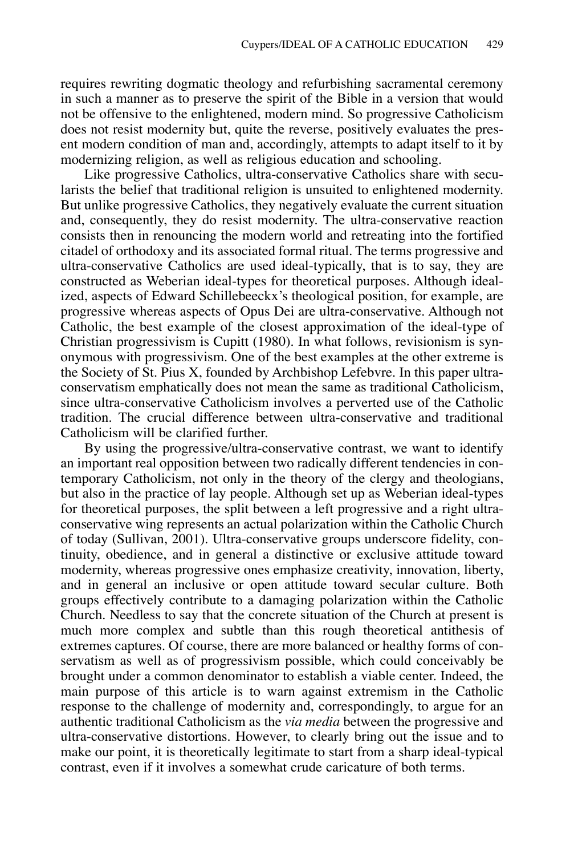requires rewriting dogmatic theology and refurbishing sacramental ceremony in such a manner as to preserve the spirit of the Bible in a version that would not be offensive to the enlightened, modern mind. So progressive Catholicism does not resist modernity but, quite the reverse, positively evaluates the present modern condition of man and, accordingly, attempts to adapt itself to it by modernizing religion, as well as religious education and schooling.

Like progressive Catholics, ultra-conservative Catholics share with secularists the belief that traditional religion is unsuited to enlightened modernity. But unlike progressive Catholics, they negatively evaluate the current situation and, consequently, they do resist modernity. The ultra-conservative reaction consists then in renouncing the modern world and retreating into the fortified citadel of orthodoxy and its associated formal ritual. The terms progressive and ultra-conservative Catholics are used ideal-typically, that is to say, they are constructed as Weberian ideal-types for theoretical purposes. Although idealized, aspects of Edward Schillebeeckx's theological position, for example, are progressive whereas aspects of Opus Dei are ultra-conservative. Although not Catholic, the best example of the closest approximation of the ideal-type of Christian progressivism is Cupitt (1980). In what follows, revisionism is synonymous with progressivism. One of the best examples at the other extreme is the Society of St. Pius X, founded by Archbishop Lefebvre. In this paper ultraconservatism emphatically does not mean the same as traditional Catholicism, since ultra-conservative Catholicism involves a perverted use of the Catholic tradition. The crucial difference between ultra-conservative and traditional Catholicism will be clarified further.

By using the progressive/ultra-conservative contrast, we want to identify an important real opposition between two radically different tendencies in contemporary Catholicism, not only in the theory of the clergy and theologians, but also in the practice of lay people. Although set up as Weberian ideal-types for theoretical purposes, the split between a left progressive and a right ultraconservative wing represents an actual polarization within the Catholic Church of today (Sullivan, 2001). Ultra-conservative groups underscore fidelity, continuity, obedience, and in general a distinctive or exclusive attitude toward modernity, whereas progressive ones emphasize creativity, innovation, liberty, and in general an inclusive or open attitude toward secular culture. Both groups effectively contribute to a damaging polarization within the Catholic Church. Needless to say that the concrete situation of the Church at present is much more complex and subtle than this rough theoretical antithesis of extremes captures. Of course, there are more balanced or healthy forms of conservatism as well as of progressivism possible, which could conceivably be brought under a common denominator to establish a viable center. Indeed, the main purpose of this article is to warn against extremism in the Catholic response to the challenge of modernity and, correspondingly, to argue for an authentic traditional Catholicism as the *via media* between the progressive and ultra-conservative distortions. However, to clearly bring out the issue and to make our point, it is theoretically legitimate to start from a sharp ideal-typical contrast, even if it involves a somewhat crude caricature of both terms.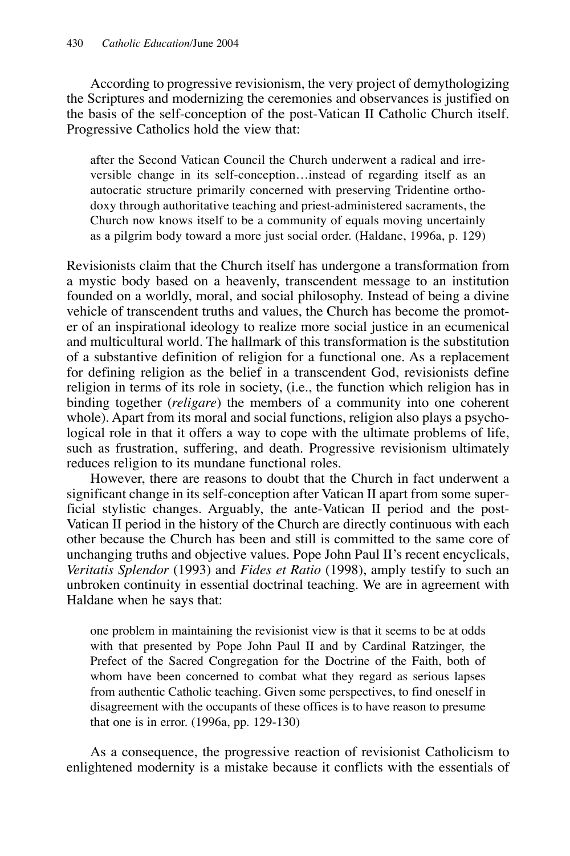According to progressive revisionism, the very project of demythologizing the Scriptures and modernizing the ceremonies and observances is justified on the basis of the self-conception of the post-Vatican II Catholic Church itself. Progressive Catholics hold the view that:

after the Second Vatican Council the Church underwent a radical and irreversible change in its self-conception…instead of regarding itself as an autocratic structure primarily concerned with preserving Tridentine orthodoxy through authoritative teaching and priest-administered sacraments, the Church now knows itself to be a community of equals moving uncertainly as a pilgrim body toward a more just social order. (Haldane, 1996a, p. 129)

Revisionists claim that the Church itself has undergone a transformation from a mystic body based on a heavenly, transcendent message to an institution founded on a worldly, moral, and social philosophy. Instead of being a divine vehicle of transcendent truths and values, the Church has become the promoter of an inspirational ideology to realize more social justice in an ecumenical and multicultural world. The hallmark of this transformation is the substitution of a substantive definition of religion for a functional one. As a replacement for defining religion as the belief in a transcendent God, revisionists define religion in terms of its role in society, (i.e., the function which religion has in binding together (*religare*) the members of a community into one coherent whole). Apart from its moral and social functions, religion also plays a psychological role in that it offers a way to cope with the ultimate problems of life, such as frustration, suffering, and death. Progressive revisionism ultimately reduces religion to its mundane functional roles.

However, there are reasons to doubt that the Church in fact underwent a significant change in its self-conception after Vatican II apart from some superficial stylistic changes. Arguably, the ante-Vatican II period and the post-Vatican II period in the history of the Church are directly continuous with each other because the Church has been and still is committed to the same core of unchanging truths and objective values. Pope John Paul II's recent encyclicals, *Veritatis Splendor* (1993) and *Fides et Ratio* (1998), amply testify to such an unbroken continuity in essential doctrinal teaching. We are in agreement with Haldane when he says that:

one problem in maintaining the revisionist view is that it seems to be at odds with that presented by Pope John Paul II and by Cardinal Ratzinger, the Prefect of the Sacred Congregation for the Doctrine of the Faith, both of whom have been concerned to combat what they regard as serious lapses from authentic Catholic teaching. Given some perspectives, to find oneself in disagreement with the occupants of these offices is to have reason to presume that one is in error. (1996a, pp. 129-130)

As a consequence, the progressive reaction of revisionist Catholicism to enlightened modernity is a mistake because it conflicts with the essentials of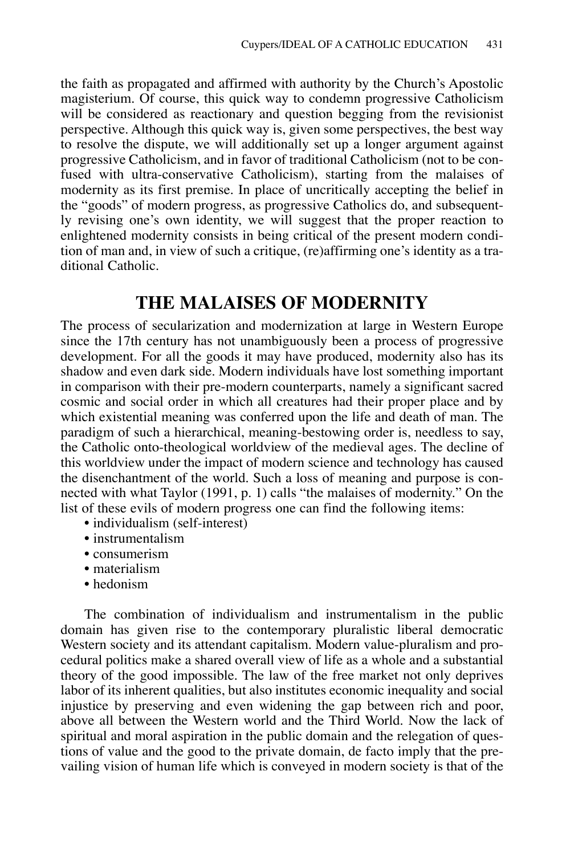the faith as propagated and affirmed with authority by the Church's Apostolic magisterium. Of course, this quick way to condemn progressive Catholicism will be considered as reactionary and question begging from the revisionist perspective. Although this quick way is, given some perspectives, the best way to resolve the dispute, we will additionally set up a longer argument against progressive Catholicism, and in favor of traditional Catholicism (not to be confused with ultra-conservative Catholicism), starting from the malaises of modernity as its first premise. In place of uncritically accepting the belief in the "goods" of modern progress, as progressive Catholics do, and subsequently revising one's own identity, we will suggest that the proper reaction to enlightened modernity consists in being critical of the present modern condition of man and, in view of such a critique, (re)affirming one's identity as a traditional Catholic.

## **THE MALAISES OF MODERNITY**

The process of secularization and modernization at large in Western Europe since the 17th century has not unambiguously been a process of progressive development. For all the goods it may have produced, modernity also has its shadow and even dark side. Modern individuals have lost something important in comparison with their pre-modern counterparts, namely a significant sacred cosmic and social order in which all creatures had their proper place and by which existential meaning was conferred upon the life and death of man. The paradigm of such a hierarchical, meaning-bestowing order is, needless to say, the Catholic onto-theological worldview of the medieval ages. The decline of this worldview under the impact of modern science and technology has caused the disenchantment of the world. Such a loss of meaning and purpose is connected with what Taylor (1991, p. 1) calls "the malaises of modernity." On the list of these evils of modern progress one can find the following items:

- individualism (self-interest)
- instrumentalism
- consumerism
- materialism
- hedonism

The combination of individualism and instrumentalism in the public domain has given rise to the contemporary pluralistic liberal democratic Western society and its attendant capitalism. Modern value-pluralism and procedural politics make a shared overall view of life as a whole and a substantial theory of the good impossible. The law of the free market not only deprives labor of its inherent qualities, but also institutes economic inequality and social injustice by preserving and even widening the gap between rich and poor, above all between the Western world and the Third World. Now the lack of spiritual and moral aspiration in the public domain and the relegation of questions of value and the good to the private domain, de facto imply that the prevailing vision of human life which is conveyed in modern society is that of the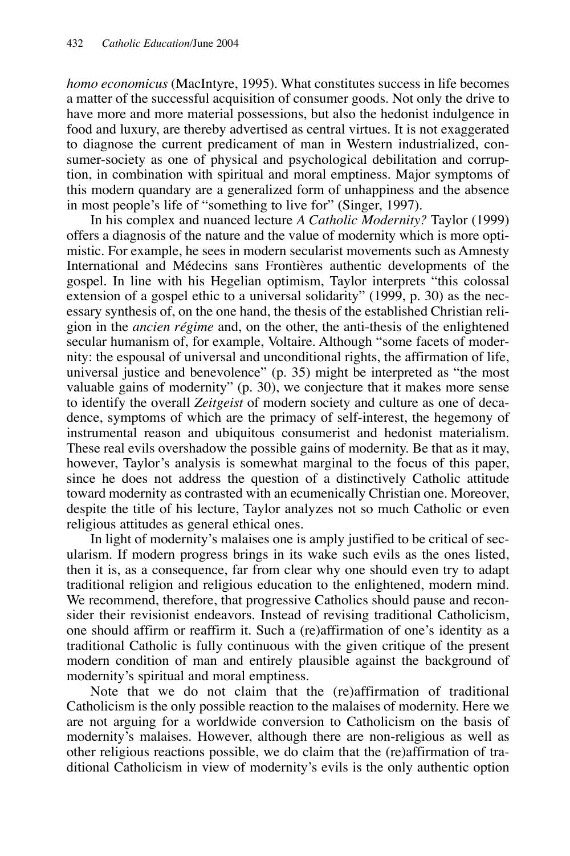*homo economicus* (MacIntyre, 1995). What constitutes success in life becomes a matter of the successful acquisition of consumer goods. Not only the drive to have more and more material possessions, but also the hedonist indulgence in food and luxury, are thereby advertised as central virtues. It is not exaggerated to diagnose the current predicament of man in Western industrialized, consumer-society as one of physical and psychological debilitation and corruption, in combination with spiritual and moral emptiness. Major symptoms of this modern quandary are a generalized form of unhappiness and the absence in most people's life of "something to live for" (Singer, 1997).

In his complex and nuanced lecture *A Catholic Modernity?* Taylor (1999) offers a diagnosis of the nature and the value of modernity which is more optimistic. For example, he sees in modern secularist movements such as Amnesty International and Médecins sans Frontières authentic developments of the gospel. In line with his Hegelian optimism, Taylor interprets "this colossal extension of a gospel ethic to a universal solidarity" (1999, p. 30) as the necessary synthesis of, on the one hand, the thesis of the established Christian religion in the *ancien régime* and, on the other, the anti-thesis of the enlightened secular humanism of, for example, Voltaire. Although "some facets of modernity: the espousal of universal and unconditional rights, the affirmation of life, universal justice and benevolence" (p. 35) might be interpreted as "the most valuable gains of modernity"  $(p. 30)$ , we conjecture that it makes more sense to identify the overall *Zeitgeist* of modern society and culture as one of decadence, symptoms of which are the primacy of self-interest, the hegemony of instrumental reason and ubiquitous consumerist and hedonist materialism. These real evils overshadow the possible gains of modernity. Be that as it may, however, Taylor's analysis is somewhat marginal to the focus of this paper, since he does not address the question of a distinctively Catholic attitude toward modernity as contrasted with an ecumenically Christian one. Moreover, despite the title of his lecture, Taylor analyzes not so much Catholic or even religious attitudes as general ethical ones.

In light of modernity's malaises one is amply justified to be critical of secularism. If modern progress brings in its wake such evils as the ones listed, then it is, as a consequence, far from clear why one should even try to adapt traditional religion and religious education to the enlightened, modern mind. We recommend, therefore, that progressive Catholics should pause and reconsider their revisionist endeavors. Instead of revising traditional Catholicism, one should affirm or reaffirm it. Such a (re)affirmation of one's identity as a traditional Catholic is fully continuous with the given critique of the present modern condition of man and entirely plausible against the background of modernity's spiritual and moral emptiness.

Note that we do not claim that the (re)affirmation of traditional Catholicism is the only possible reaction to the malaises of modernity. Here we are not arguing for a worldwide conversion to Catholicism on the basis of modernity's malaises. However, although there are non-religious as well as other religious reactions possible, we do claim that the (re)affirmation of traditional Catholicism in view of modernity's evils is the only authentic option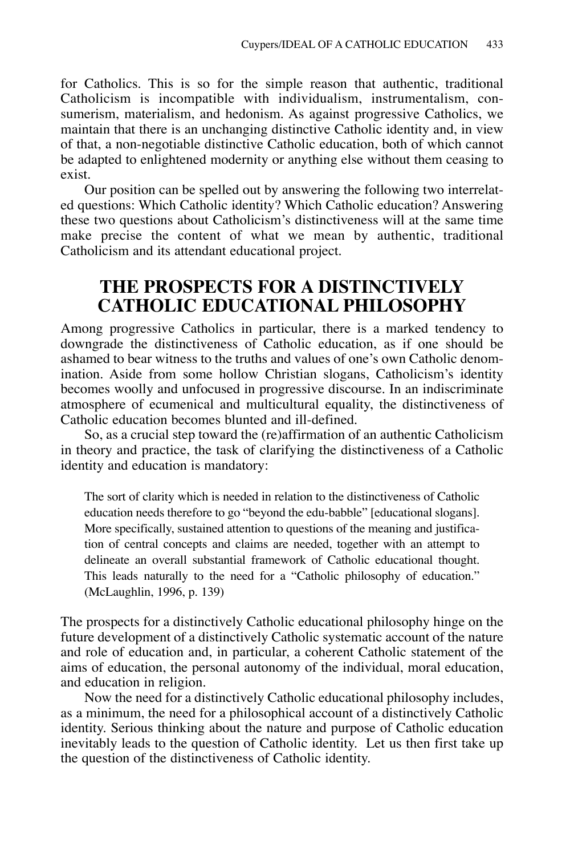for Catholics. This is so for the simple reason that authentic, traditional Catholicism is incompatible with individualism, instrumentalism, consumerism, materialism, and hedonism. As against progressive Catholics, we maintain that there is an unchanging distinctive Catholic identity and, in view of that, a non-negotiable distinctive Catholic education, both of which cannot be adapted to enlightened modernity or anything else without them ceasing to exist.

Our position can be spelled out by answering the following two interrelated questions: Which Catholic identity? Which Catholic education? Answering these two questions about Catholicism's distinctiveness will at the same time make precise the content of what we mean by authentic, traditional Catholicism and its attendant educational project.

# **THE PROSPECTS FOR A DISTINCTIVELY CATHOLIC EDUCATIONAL PHILOSOPHY**

Among progressive Catholics in particular, there is a marked tendency to downgrade the distinctiveness of Catholic education, as if one should be ashamed to bear witness to the truths and values of one's own Catholic denomination. Aside from some hollow Christian slogans, Catholicism's identity becomes woolly and unfocused in progressive discourse. In an indiscriminate atmosphere of ecumenical and multicultural equality, the distinctiveness of Catholic education becomes blunted and ill-defined.

So, as a crucial step toward the (re)affirmation of an authentic Catholicism in theory and practice, the task of clarifying the distinctiveness of a Catholic identity and education is mandatory:

The sort of clarity which is needed in relation to the distinctiveness of Catholic education needs therefore to go "beyond the edu-babble" [educational slogans]. More specifically, sustained attention to questions of the meaning and justification of central concepts and claims are needed, together with an attempt to delineate an overall substantial framework of Catholic educational thought. This leads naturally to the need for a "Catholic philosophy of education." (McLaughlin, 1996, p. 139)

The prospects for a distinctively Catholic educational philosophy hinge on the future development of a distinctively Catholic systematic account of the nature and role of education and, in particular, a coherent Catholic statement of the aims of education, the personal autonomy of the individual, moral education, and education in religion.

Now the need for a distinctively Catholic educational philosophy includes, as a minimum, the need for a philosophical account of a distinctively Catholic identity. Serious thinking about the nature and purpose of Catholic education inevitably leads to the question of Catholic identity. Let us then first take up the question of the distinctiveness of Catholic identity.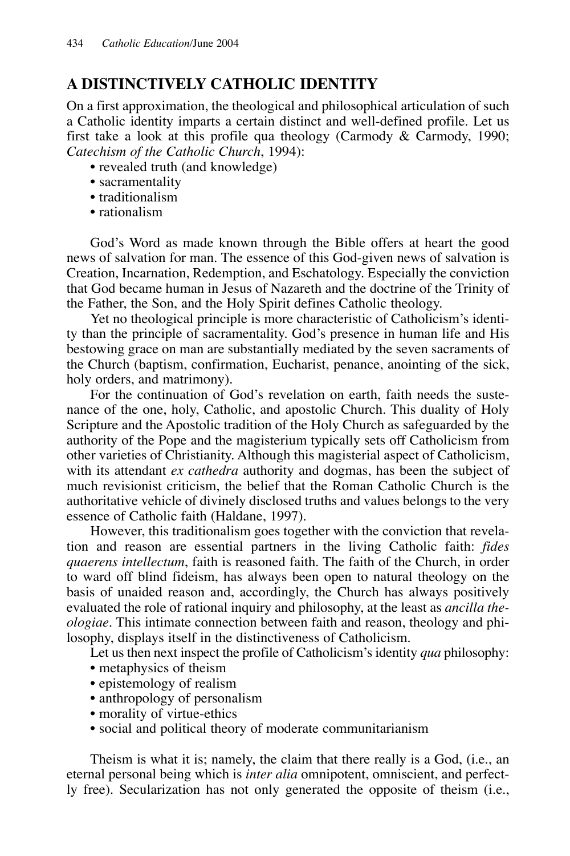### **A DISTINCTIVELY CATHOLIC IDENTITY**

On a first approximation, the theological and philosophical articulation of such a Catholic identity imparts a certain distinct and well-defined profile. Let us first take a look at this profile qua theology (Carmody  $\&$  Carmody, 1990; *Catechism of the Catholic Church*, 1994):

- revealed truth (and knowledge)
- sacramentality
- traditionalism
- rationalism

God's Word as made known through the Bible offers at heart the good news of salvation for man. The essence of this God-given news of salvation is Creation, Incarnation, Redemption, and Eschatology. Especially the conviction that God became human in Jesus of Nazareth and the doctrine of the Trinity of the Father, the Son, and the Holy Spirit defines Catholic theology.

Yet no theological principle is more characteristic of Catholicism's identity than the principle of sacramentality. God's presence in human life and His bestowing grace on man are substantially mediated by the seven sacraments of the Church (baptism, confirmation, Eucharist, penance, anointing of the sick, holy orders, and matrimony).

For the continuation of God's revelation on earth, faith needs the sustenance of the one, holy, Catholic, and apostolic Church. This duality of Holy Scripture and the Apostolic tradition of the Holy Church as safeguarded by the authority of the Pope and the magisterium typically sets off Catholicism from other varieties of Christianity. Although this magisterial aspect of Catholicism, with its attendant *ex cathedra* authority and dogmas, has been the subject of much revisionist criticism, the belief that the Roman Catholic Church is the authoritative vehicle of divinely disclosed truths and values belongs to the very essence of Catholic faith (Haldane, 1997).

However, this traditionalism goes together with the conviction that revelation and reason are essential partners in the living Catholic faith: *fides quaerens intellectum*, faith is reasoned faith. The faith of the Church, in order to ward off blind fideism, has always been open to natural theology on the basis of unaided reason and, accordingly, the Church has always positively evaluated the role of rational inquiry and philosophy, at the least as *ancilla theologiae*. This intimate connection between faith and reason, theology and philosophy, displays itself in the distinctiveness of Catholicism.

Let us then next inspect the profile of Catholicism's identity *qua* philosophy:

- metaphysics of theism
- epistemology of realism
- anthropology of personalism
- morality of virtue-ethics
- social and political theory of moderate communitarianism

Theism is what it is; namely, the claim that there really is a God, (i.e., an eternal personal being which is *inter alia* omnipotent, omniscient, and perfectly free). Secularization has not only generated the opposite of theism (i.e.,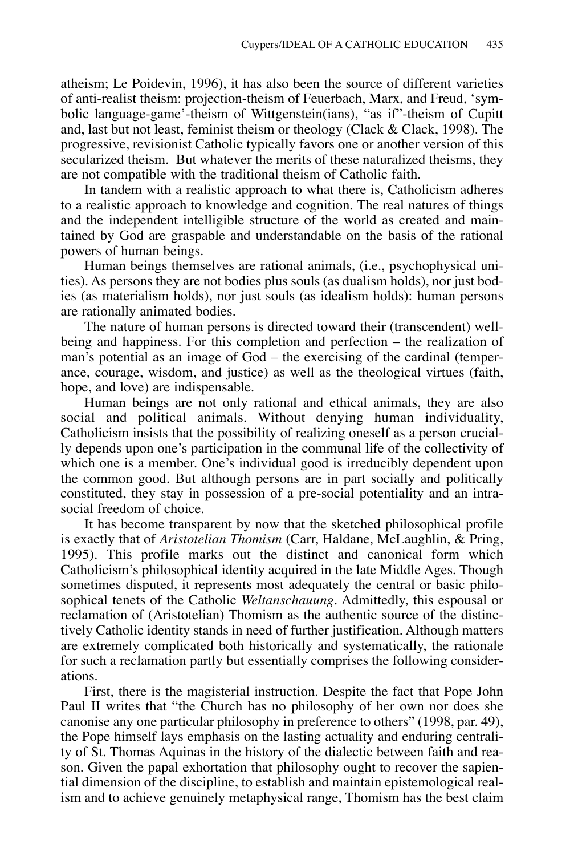atheism; Le Poidevin, 1996), it has also been the source of different varieties of anti-realist theism: projection-theism of Feuerbach, Marx, and Freud, 'symbolic language-game'-theism of Wittgenstein(ians), "as if"-theism of Cupitt and, last but not least, feminist theism or theology (Clack  $\&$  Clack, 1998). The progressive, revisionist Catholic typically favors one or another version of this secularized theism. But whatever the merits of these naturalized theisms, they are not compatible with the traditional theism of Catholic faith.

In tandem with a realistic approach to what there is, Catholicism adheres to a realistic approach to knowledge and cognition. The real natures of things and the independent intelligible structure of the world as created and maintained by God are graspable and understandable on the basis of the rational powers of human beings.

Human beings themselves are rational animals, (i.e., psychophysical unities). As persons they are not bodies plus souls (as dualism holds), nor just bodies (as materialism holds), nor just souls (as idealism holds): human persons are rationally animated bodies.

The nature of human persons is directed toward their (transcendent) wellbeing and happiness. For this completion and perfection – the realization of man's potential as an image of God – the exercising of the cardinal (temperance, courage, wisdom, and justice) as well as the theological virtues (faith, hope, and love) are indispensable.

Human beings are not only rational and ethical animals, they are also social and political animals. Without denying human individuality, Catholicism insists that the possibility of realizing oneself as a person crucially depends upon one's participation in the communal life of the collectivity of which one is a member. One's individual good is irreducibly dependent upon the common good. But although persons are in part socially and politically constituted, they stay in possession of a pre-social potentiality and an intrasocial freedom of choice.

It has become transparent by now that the sketched philosophical profile is exactly that of *Aristotelian Thomism* (Carr, Haldane, McLaughlin, & Pring, 1995). This profile marks out the distinct and canonical form which Catholicism's philosophical identity acquired in the late Middle Ages. Though sometimes disputed, it represents most adequately the central or basic philosophical tenets of the Catholic *Weltanschauung*. Admittedly, this espousal or reclamation of (Aristotelian) Thomism as the authentic source of the distinctively Catholic identity stands in need of further justification. Although matters are extremely complicated both historically and systematically, the rationale for such a reclamation partly but essentially comprises the following considerations.

First, there is the magisterial instruction. Despite the fact that Pope John Paul II writes that "the Church has no philosophy of her own nor does she canonise any one particular philosophy in preference to others" (1998, par. 49), the Pope himself lays emphasis on the lasting actuality and enduring centrality of St. Thomas Aquinas in the history of the dialectic between faith and reason. Given the papal exhortation that philosophy ought to recover the sapiential dimension of the discipline, to establish and maintain epistemological realism and to achieve genuinely metaphysical range, Thomism has the best claim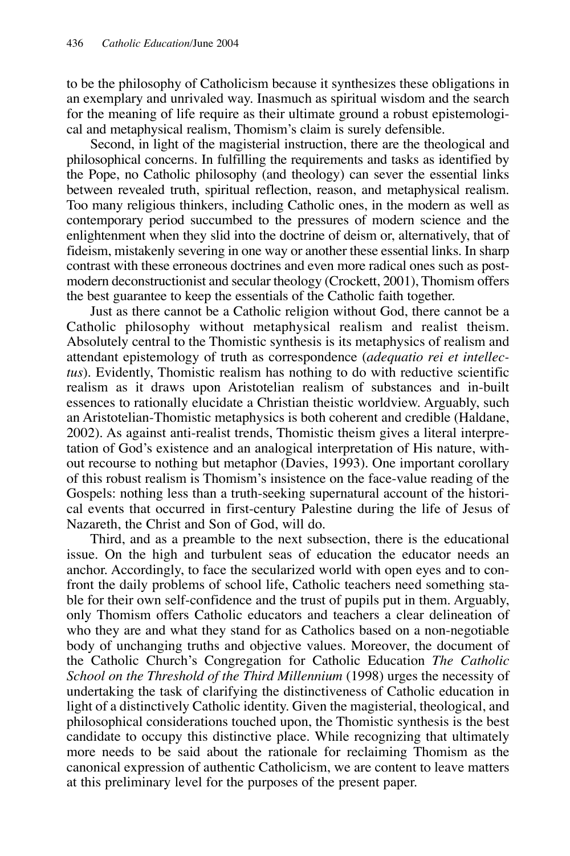to be the philosophy of Catholicism because it synthesizes these obligations in an exemplary and unrivaled way. Inasmuch as spiritual wisdom and the search for the meaning of life require as their ultimate ground a robust epistemological and metaphysical realism, Thomism's claim is surely defensible.

Second, in light of the magisterial instruction, there are the theological and philosophical concerns. In fulfilling the requirements and tasks as identified by the Pope, no Catholic philosophy (and theology) can sever the essential links between revealed truth, spiritual reflection, reason, and metaphysical realism. Too many religious thinkers, including Catholic ones, in the modern as well as contemporary period succumbed to the pressures of modern science and the enlightenment when they slid into the doctrine of deism or, alternatively, that of fideism, mistakenly severing in one way or another these essential links. In sharp contrast with these erroneous doctrines and even more radical ones such as postmodern deconstructionist and secular theology (Crockett, 2001), Thomism offers the best guarantee to keep the essentials of the Catholic faith together.

Just as there cannot be a Catholic religion without God, there cannot be a Catholic philosophy without metaphysical realism and realist theism. Absolutely central to the Thomistic synthesis is its metaphysics of realism and attendant epistemology of truth as correspondence (*adequatio rei et intellectus*). Evidently, Thomistic realism has nothing to do with reductive scientific realism as it draws upon Aristotelian realism of substances and in-built essences to rationally elucidate a Christian theistic worldview. Arguably, such an Aristotelian-Thomistic metaphysics is both coherent and credible (Haldane, 2002). As against anti-realist trends, Thomistic theism gives a literal interpretation of God's existence and an analogical interpretation of His nature, without recourse to nothing but metaphor (Davies, 1993). One important corollary of this robust realism is Thomism's insistence on the face-value reading of the Gospels: nothing less than a truth-seeking supernatural account of the historical events that occurred in first-century Palestine during the life of Jesus of Nazareth, the Christ and Son of God, will do.

Third, and as a preamble to the next subsection, there is the educational issue. On the high and turbulent seas of education the educator needs an anchor. Accordingly, to face the secularized world with open eyes and to confront the daily problems of school life, Catholic teachers need something stable for their own self-confidence and the trust of pupils put in them. Arguably, only Thomism offers Catholic educators and teachers a clear delineation of who they are and what they stand for as Catholics based on a non-negotiable body of unchanging truths and objective values. Moreover, the document of the Catholic Church's Congregation for Catholic Education *The Catholic School on the Threshold of the Third Millennium* (1998) urges the necessity of undertaking the task of clarifying the distinctiveness of Catholic education in light of a distinctively Catholic identity. Given the magisterial, theological, and philosophical considerations touched upon, the Thomistic synthesis is the best candidate to occupy this distinctive place. While recognizing that ultimately more needs to be said about the rationale for reclaiming Thomism as the canonical expression of authentic Catholicism, we are content to leave matters at this preliminary level for the purposes of the present paper.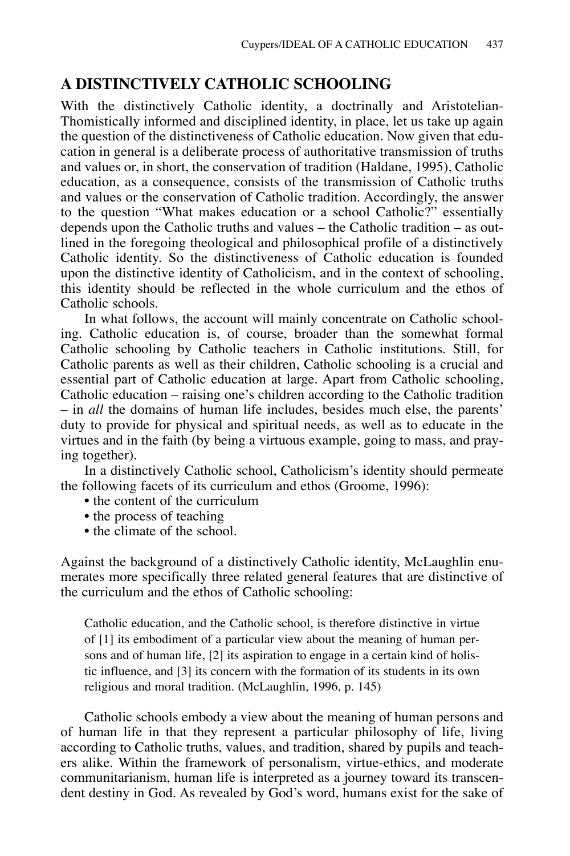#### **A DISTINCTIVELY CATHOLIC SCHOOLING**

With the distinctively Catholic identity, a doctrinally and Aristotelian-Thomistically informed and disciplined identity, in place, let us take up again the question of the distinctiveness of Catholic education. Now given that education in general is a deliberate process of authoritative transmission of truths and values or, in short, the conservation of tradition (Haldane, 1995), Catholic education, as a consequence, consists of the transmission of Catholic truths and values or the conservation of Catholic tradition. Accordingly, the answer to the question "What makes education or a school Catholic?" essentially depends upon the Catholic truths and values – the Catholic tradition – as outlined in the foregoing theological and philosophical profile of a distinctively Catholic identity. So the distinctiveness of Catholic education is founded upon the distinctive identity of Catholicism, and in the context of schooling, this identity should be reflected in the whole curriculum and the ethos of Catholic schools.

In what follows, the account will mainly concentrate on Catholic schooling. Catholic education is, of course, broader than the somewhat formal Catholic schooling by Catholic teachers in Catholic institutions. Still, for Catholic parents as well as their children, Catholic schooling is a crucial and essential part of Catholic education at large. Apart from Catholic schooling, Catholic education – raising one's children according to the Catholic tradition – in *all* the domains of human life includes, besides much else, the parents' duty to provide for physical and spiritual needs, as well as to educate in the virtues and in the faith (by being a virtuous example, going to mass, and praying together).

In a distinctively Catholic school, Catholicism's identity should permeate the following facets of its curriculum and ethos (Groome, 1996):

- the content of the curriculum
- the process of teaching
- the climate of the school.

Against the background of a distinctively Catholic identity, McLaughlin enumerates more specifically three related general features that are distinctive of the curriculum and the ethos of Catholic schooling:

Catholic education, and the Catholic school, is therefore distinctive in virtue of [1] its embodiment of a particular view about the meaning of human persons and of human life, [2] its aspiration to engage in a certain kind of holistic influence, and [3] its concern with the formation of its students in its own religious and moral tradition. (McLaughlin, 1996, p. 145)

Catholic schools embody a view about the meaning of human persons and of human life in that they represent a particular philosophy of life, living according to Catholic truths, values, and tradition, shared by pupils and teachers alike. Within the framework of personalism, virtue-ethics, and moderate communitarianism, human life is interpreted as a journey toward its transcendent destiny in God. As revealed by God's word, humans exist for the sake of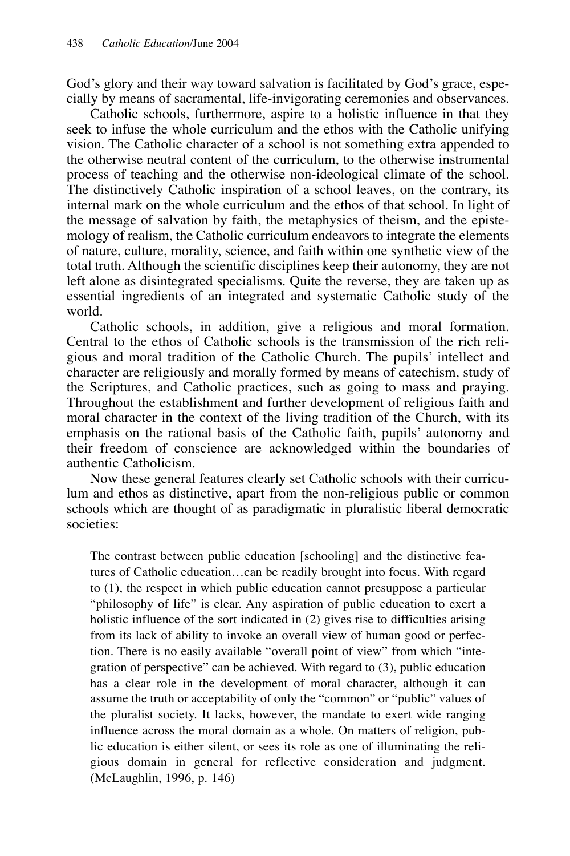God's glory and their way toward salvation is facilitated by God's grace, especially by means of sacramental, life-invigorating ceremonies and observances.

Catholic schools, furthermore, aspire to a holistic influence in that they seek to infuse the whole curriculum and the ethos with the Catholic unifying vision. The Catholic character of a school is not something extra appended to the otherwise neutral content of the curriculum, to the otherwise instrumental process of teaching and the otherwise non-ideological climate of the school. The distinctively Catholic inspiration of a school leaves, on the contrary, its internal mark on the whole curriculum and the ethos of that school. In light of the message of salvation by faith, the metaphysics of theism, and the epistemology of realism, the Catholic curriculum endeavors to integrate the elements of nature, culture, morality, science, and faith within one synthetic view of the total truth. Although the scientific disciplines keep their autonomy, they are not left alone as disintegrated specialisms. Quite the reverse, they are taken up as essential ingredients of an integrated and systematic Catholic study of the world.

Catholic schools, in addition, give a religious and moral formation. Central to the ethos of Catholic schools is the transmission of the rich religious and moral tradition of the Catholic Church. The pupils' intellect and character are religiously and morally formed by means of catechism, study of the Scriptures, and Catholic practices, such as going to mass and praying. Throughout the establishment and further development of religious faith and moral character in the context of the living tradition of the Church, with its emphasis on the rational basis of the Catholic faith, pupils' autonomy and their freedom of conscience are acknowledged within the boundaries of authentic Catholicism.

Now these general features clearly set Catholic schools with their curriculum and ethos as distinctive, apart from the non-religious public or common schools which are thought of as paradigmatic in pluralistic liberal democratic societies:

The contrast between public education [schooling] and the distinctive features of Catholic education…can be readily brought into focus. With regard to (1), the respect in which public education cannot presuppose a particular "philosophy of life" is clear. Any aspiration of public education to exert a holistic influence of the sort indicated in (2) gives rise to difficulties arising from its lack of ability to invoke an overall view of human good or perfection. There is no easily available "overall point of view" from which "integration of perspective" can be achieved. With regard to (3), public education has a clear role in the development of moral character, although it can assume the truth or acceptability of only the "common" or "public" values of the pluralist society. It lacks, however, the mandate to exert wide ranging influence across the moral domain as a whole. On matters of religion, public education is either silent, or sees its role as one of illuminating the religious domain in general for reflective consideration and judgment. (McLaughlin, 1996, p. 146)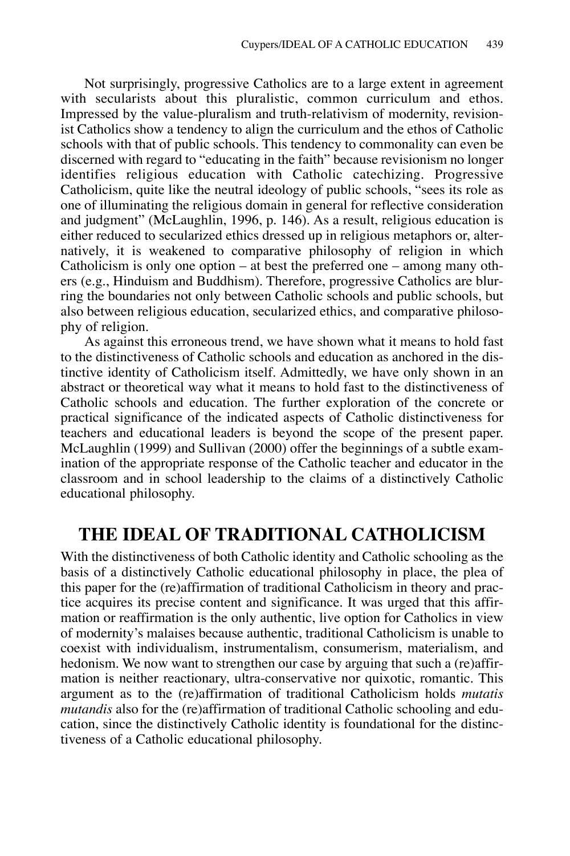Not surprisingly, progressive Catholics are to a large extent in agreement with secularists about this pluralistic, common curriculum and ethos. Impressed by the value-pluralism and truth-relativism of modernity, revisionist Catholics show a tendency to align the curriculum and the ethos of Catholic schools with that of public schools. This tendency to commonality can even be discerned with regard to "educating in the faith" because revisionism no longer identifies religious education with Catholic catechizing. Progressive Catholicism, quite like the neutral ideology of public schools, "sees its role as one of illuminating the religious domain in general for reflective consideration and judgment" (McLaughlin, 1996, p. 146). As a result, religious education is either reduced to secularized ethics dressed up in religious metaphors or, alternatively, it is weakened to comparative philosophy of religion in which Catholicism is only one option – at best the preferred one – among many others (e.g., Hinduism and Buddhism). Therefore, progressive Catholics are blurring the boundaries not only between Catholic schools and public schools, but also between religious education, secularized ethics, and comparative philosophy of religion.

As against this erroneous trend, we have shown what it means to hold fast to the distinctiveness of Catholic schools and education as anchored in the distinctive identity of Catholicism itself. Admittedly, we have only shown in an abstract or theoretical way what it means to hold fast to the distinctiveness of Catholic schools and education. The further exploration of the concrete or practical significance of the indicated aspects of Catholic distinctiveness for teachers and educational leaders is beyond the scope of the present paper. McLaughlin (1999) and Sullivan (2000) offer the beginnings of a subtle examination of the appropriate response of the Catholic teacher and educator in the classroom and in school leadership to the claims of a distinctively Catholic educational philosophy.

#### **THE IDEAL OF TRADITIONAL CATHOLICISM**

With the distinctiveness of both Catholic identity and Catholic schooling as the basis of a distinctively Catholic educational philosophy in place, the plea of this paper for the (re)affirmation of traditional Catholicism in theory and practice acquires its precise content and significance. It was urged that this affirmation or reaffirmation is the only authentic, live option for Catholics in view of modernity's malaises because authentic, traditional Catholicism is unable to coexist with individualism, instrumentalism, consumerism, materialism, and hedonism. We now want to strengthen our case by arguing that such a (re)affirmation is neither reactionary, ultra-conservative nor quixotic, romantic. This argument as to the (re)affirmation of traditional Catholicism holds *mutatis mutandis* also for the (re)affirmation of traditional Catholic schooling and education, since the distinctively Catholic identity is foundational for the distinctiveness of a Catholic educational philosophy.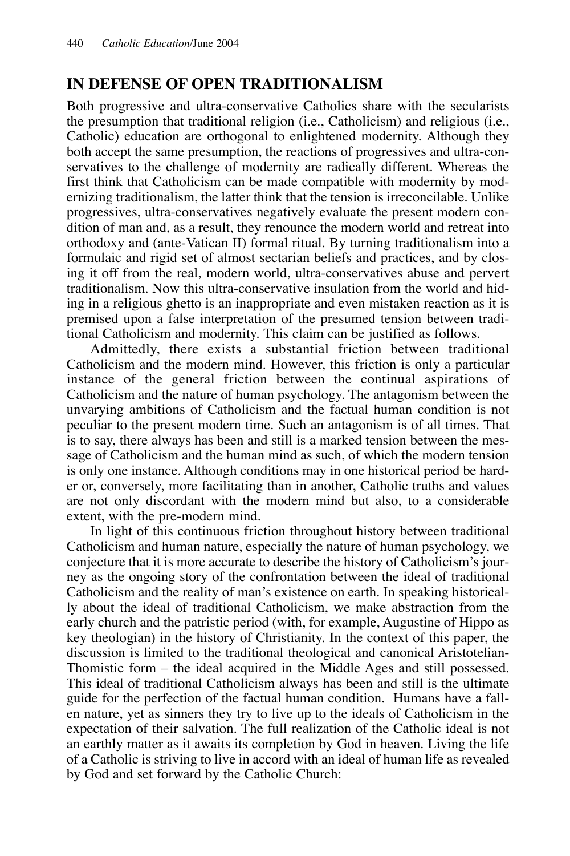#### **IN DEFENSE OF OPEN TRADITIONALISM**

Both progressive and ultra-conservative Catholics share with the secularists the presumption that traditional religion (i.e., Catholicism) and religious (i.e., Catholic) education are orthogonal to enlightened modernity. Although they both accept the same presumption, the reactions of progressives and ultra-conservatives to the challenge of modernity are radically different. Whereas the first think that Catholicism can be made compatible with modernity by modernizing traditionalism, the latter think that the tension is irreconcilable. Unlike progressives, ultra-conservatives negatively evaluate the present modern condition of man and, as a result, they renounce the modern world and retreat into orthodoxy and (ante-Vatican II) formal ritual. By turning traditionalism into a formulaic and rigid set of almost sectarian beliefs and practices, and by closing it off from the real, modern world, ultra-conservatives abuse and pervert traditionalism. Now this ultra-conservative insulation from the world and hiding in a religious ghetto is an inappropriate and even mistaken reaction as it is premised upon a false interpretation of the presumed tension between traditional Catholicism and modernity. This claim can be justified as follows.

Admittedly, there exists a substantial friction between traditional Catholicism and the modern mind. However, this friction is only a particular instance of the general friction between the continual aspirations of Catholicism and the nature of human psychology. The antagonism between the unvarying ambitions of Catholicism and the factual human condition is not peculiar to the present modern time. Such an antagonism is of all times. That is to say, there always has been and still is a marked tension between the message of Catholicism and the human mind as such, of which the modern tension is only one instance. Although conditions may in one historical period be harder or, conversely, more facilitating than in another, Catholic truths and values are not only discordant with the modern mind but also, to a considerable extent, with the pre-modern mind.

In light of this continuous friction throughout history between traditional Catholicism and human nature, especially the nature of human psychology, we conjecture that it is more accurate to describe the history of Catholicism's journey as the ongoing story of the confrontation between the ideal of traditional Catholicism and the reality of man's existence on earth. In speaking historically about the ideal of traditional Catholicism, we make abstraction from the early church and the patristic period (with, for example, Augustine of Hippo as key theologian) in the history of Christianity. In the context of this paper, the discussion is limited to the traditional theological and canonical Aristotelian-Thomistic form – the ideal acquired in the Middle Ages and still possessed. This ideal of traditional Catholicism always has been and still is the ultimate guide for the perfection of the factual human condition. Humans have a fallen nature, yet as sinners they try to live up to the ideals of Catholicism in the expectation of their salvation. The full realization of the Catholic ideal is not an earthly matter as it awaits its completion by God in heaven. Living the life of a Catholic is striving to live in accord with an ideal of human life as revealed by God and set forward by the Catholic Church: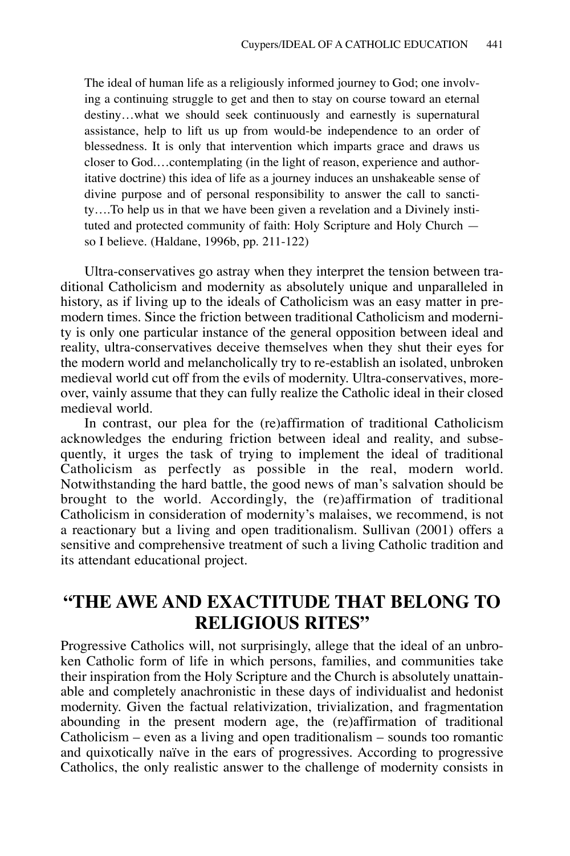The ideal of human life as a religiously informed journey to God; one involving a continuing struggle to get and then to stay on course toward an eternal destiny…what we should seek continuously and earnestly is supernatural assistance, help to lift us up from would-be independence to an order of blessedness. It is only that intervention which imparts grace and draws us closer to God.…contemplating (in the light of reason, experience and authoritative doctrine) this idea of life as a journey induces an unshakeable sense of divine purpose and of personal responsibility to answer the call to sanctity….To help us in that we have been given a revelation and a Divinely instituted and protected community of faith: Holy Scripture and Holy Church so I believe. (Haldane, 1996b, pp. 211-122)

Ultra-conservatives go astray when they interpret the tension between traditional Catholicism and modernity as absolutely unique and unparalleled in history, as if living up to the ideals of Catholicism was an easy matter in premodern times. Since the friction between traditional Catholicism and modernity is only one particular instance of the general opposition between ideal and reality, ultra-conservatives deceive themselves when they shut their eyes for the modern world and melancholically try to re-establish an isolated, unbroken medieval world cut off from the evils of modernity. Ultra-conservatives, moreover, vainly assume that they can fully realize the Catholic ideal in their closed medieval world.

In contrast, our plea for the (re)affirmation of traditional Catholicism acknowledges the enduring friction between ideal and reality, and subsequently, it urges the task of trying to implement the ideal of traditional Catholicism as perfectly as possible in the real, modern world. Notwithstanding the hard battle, the good news of man's salvation should be brought to the world. Accordingly, the (re)affirmation of traditional Catholicism in consideration of modernity's malaises, we recommend, is not a reactionary but a living and open traditionalism. Sullivan (2001) offers a sensitive and comprehensive treatment of such a living Catholic tradition and its attendant educational project.

# **"THE AWE AND EXACTITUDE THAT BELONG TO RELIGIOUS RITES"**

Progressive Catholics will, not surprisingly, allege that the ideal of an unbroken Catholic form of life in which persons, families, and communities take their inspiration from the Holy Scripture and the Church is absolutely unattainable and completely anachronistic in these days of individualist and hedonist modernity. Given the factual relativization, trivialization, and fragmentation abounding in the present modern age, the (re)affirmation of traditional Catholicism – even as a living and open traditionalism – sounds too romantic and quixotically naïve in the ears of progressives. According to progressive Catholics, the only realistic answer to the challenge of modernity consists in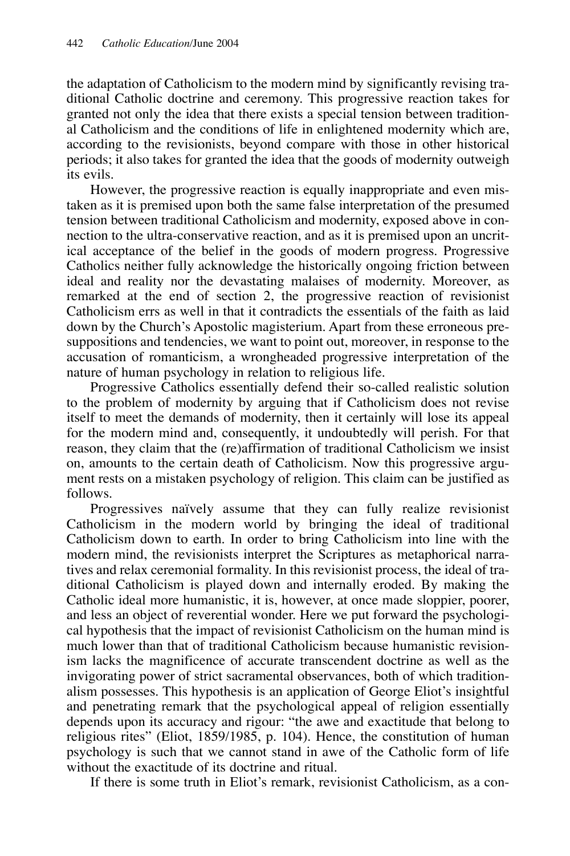the adaptation of Catholicism to the modern mind by significantly revising traditional Catholic doctrine and ceremony. This progressive reaction takes for granted not only the idea that there exists a special tension between traditional Catholicism and the conditions of life in enlightened modernity which are, according to the revisionists, beyond compare with those in other historical periods; it also takes for granted the idea that the goods of modernity outweigh its evils.

However, the progressive reaction is equally inappropriate and even mistaken as it is premised upon both the same false interpretation of the presumed tension between traditional Catholicism and modernity, exposed above in connection to the ultra-conservative reaction, and as it is premised upon an uncritical acceptance of the belief in the goods of modern progress. Progressive Catholics neither fully acknowledge the historically ongoing friction between ideal and reality nor the devastating malaises of modernity. Moreover, as remarked at the end of section 2, the progressive reaction of revisionist Catholicism errs as well in that it contradicts the essentials of the faith as laid down by the Church's Apostolic magisterium. Apart from these erroneous presuppositions and tendencies, we want to point out, moreover, in response to the accusation of romanticism, a wrongheaded progressive interpretation of the nature of human psychology in relation to religious life.

Progressive Catholics essentially defend their so-called realistic solution to the problem of modernity by arguing that if Catholicism does not revise itself to meet the demands of modernity, then it certainly will lose its appeal for the modern mind and, consequently, it undoubtedly will perish. For that reason, they claim that the (re)affirmation of traditional Catholicism we insist on, amounts to the certain death of Catholicism. Now this progressive argument rests on a mistaken psychology of religion. This claim can be justified as follows.

Progressives naïvely assume that they can fully realize revisionist Catholicism in the modern world by bringing the ideal of traditional Catholicism down to earth. In order to bring Catholicism into line with the modern mind, the revisionists interpret the Scriptures as metaphorical narratives and relax ceremonial formality. In this revisionist process, the ideal of traditional Catholicism is played down and internally eroded. By making the Catholic ideal more humanistic, it is, however, at once made sloppier, poorer, and less an object of reverential wonder. Here we put forward the psychological hypothesis that the impact of revisionist Catholicism on the human mind is much lower than that of traditional Catholicism because humanistic revisionism lacks the magnificence of accurate transcendent doctrine as well as the invigorating power of strict sacramental observances, both of which traditionalism possesses. This hypothesis is an application of George Eliot's insightful and penetrating remark that the psychological appeal of religion essentially depends upon its accuracy and rigour: "the awe and exactitude that belong to religious rites" (Eliot, 1859/1985, p. 104). Hence, the constitution of human psychology is such that we cannot stand in awe of the Catholic form of life without the exactitude of its doctrine and ritual.

If there is some truth in Eliot's remark, revisionist Catholicism, as a con-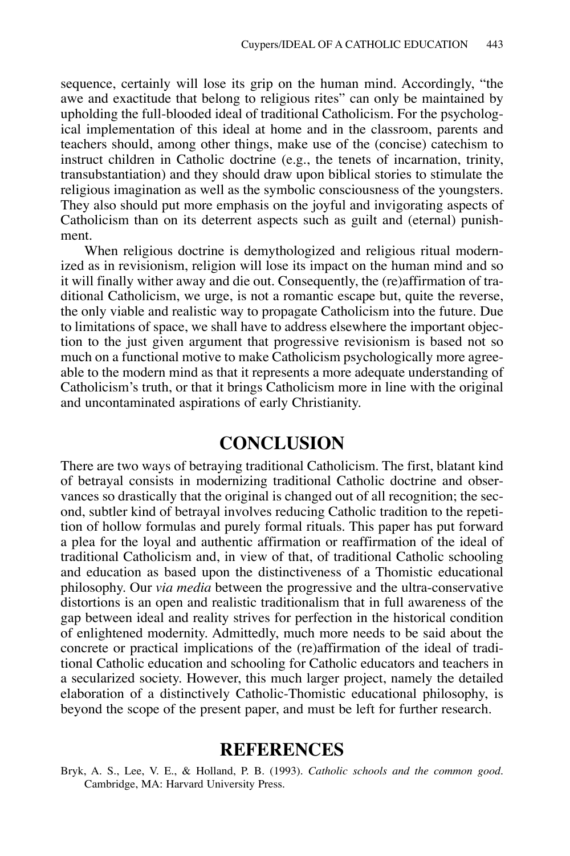sequence, certainly will lose its grip on the human mind. Accordingly, "the awe and exactitude that belong to religious rites" can only be maintained by upholding the full-blooded ideal of traditional Catholicism. For the psychological implementation of this ideal at home and in the classroom, parents and teachers should, among other things, make use of the (concise) catechism to instruct children in Catholic doctrine (e.g., the tenets of incarnation, trinity, transubstantiation) and they should draw upon biblical stories to stimulate the religious imagination as well as the symbolic consciousness of the youngsters. They also should put more emphasis on the joyful and invigorating aspects of Catholicism than on its deterrent aspects such as guilt and (eternal) punishment.

When religious doctrine is demythologized and religious ritual modernized as in revisionism, religion will lose its impact on the human mind and so it will finally wither away and die out. Consequently, the (re)affirmation of traditional Catholicism, we urge, is not a romantic escape but, quite the reverse, the only viable and realistic way to propagate Catholicism into the future. Due to limitations of space, we shall have to address elsewhere the important objection to the just given argument that progressive revisionism is based not so much on a functional motive to make Catholicism psychologically more agreeable to the modern mind as that it represents a more adequate understanding of Catholicism's truth, or that it brings Catholicism more in line with the original and uncontaminated aspirations of early Christianity.

### **CONCLUSION**

There are two ways of betraying traditional Catholicism. The first, blatant kind of betrayal consists in modernizing traditional Catholic doctrine and observances so drastically that the original is changed out of all recognition; the second, subtler kind of betrayal involves reducing Catholic tradition to the repetition of hollow formulas and purely formal rituals. This paper has put forward a plea for the loyal and authentic affirmation or reaffirmation of the ideal of traditional Catholicism and, in view of that, of traditional Catholic schooling and education as based upon the distinctiveness of a Thomistic educational philosophy. Our *via media* between the progressive and the ultra-conservative distortions is an open and realistic traditionalism that in full awareness of the gap between ideal and reality strives for perfection in the historical condition of enlightened modernity. Admittedly, much more needs to be said about the concrete or practical implications of the (re)affirmation of the ideal of traditional Catholic education and schooling for Catholic educators and teachers in a secularized society. However, this much larger project, namely the detailed elaboration of a distinctively Catholic-Thomistic educational philosophy, is beyond the scope of the present paper, and must be left for further research.

#### **REFERENCES**

Bryk, A. S., Lee, V. E., & Holland, P. B. (1993). *Catholic schools and the common good*. Cambridge, MA: Harvard University Press.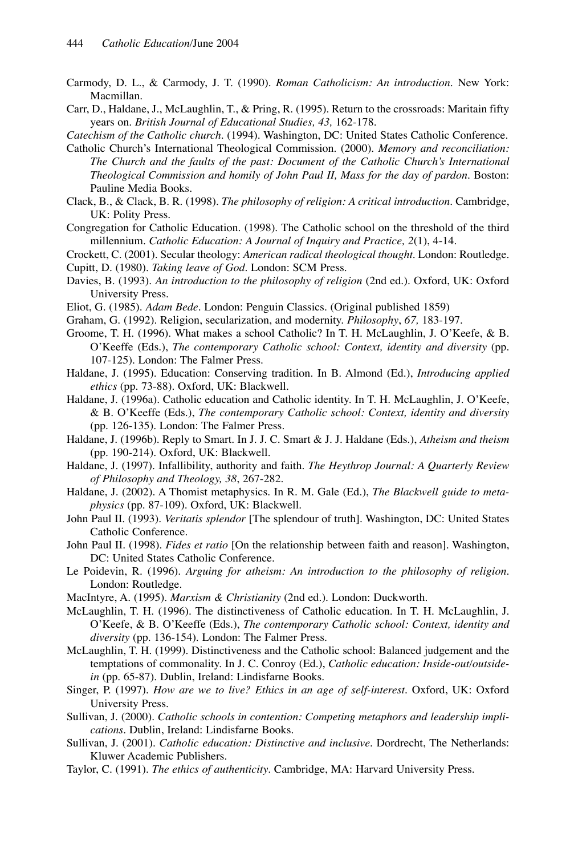- Carmody, D. L., & Carmody, J. T. (1990). *Roman Catholicism: An introduction*. New York: Macmillan.
- Carr, D., Haldane, J., McLaughlin, T., & Pring, R. (1995). Return to the crossroads: Maritain fifty years on. *British Journal of Educational Studies, 43,* 162-178.

*Catechism of the Catholic church*. (1994). Washington, DC: United States Catholic Conference.

- Catholic Church's International Theological Commission. (2000). *Memory and reconciliation: The Church and the faults of the past: Document of the Catholic Church's International Theological Commission and homily of John Paul II, Mass for the day of pardon*. Boston: Pauline Media Books.
- Clack, B., & Clack, B. R. (1998). *The philosophy of religion: A critical introduction*. Cambridge, UK: Polity Press.
- Congregation for Catholic Education. (1998). The Catholic school on the threshold of the third millennium. *Catholic Education: A Journal of Inquiry and Practice, 2*(1), 4-14.
- Crockett, C. (2001). Secular theology: *American radical theological thought*. London: Routledge.
- Cupitt, D. (1980). *Taking leave of God*. London: SCM Press.
- Davies, B. (1993). *An introduction to the philosophy of religion* (2nd ed.). Oxford, UK: Oxford University Press.
- Eliot, G. (1985). *Adam Bede*. London: Penguin Classics. (Original published 1859)
- Graham, G. (1992). Religion, secularization, and modernity. *Philosophy*, *67,* 183-197.
- Groome, T. H. (1996). What makes a school Catholic? In T. H. McLaughlin, J. O'Keefe, & B. O'Keeffe (Eds.), *The contemporary Catholic school: Context, identity and diversity* (pp. 107-125). London: The Falmer Press.
- Haldane, J. (1995). Education: Conserving tradition. In B. Almond (Ed.), *Introducing applied ethics* (pp. 73-88). Oxford, UK: Blackwell.
- Haldane, J. (1996a). Catholic education and Catholic identity. In T. H. McLaughlin, J. O'Keefe, & B. O'Keeffe (Eds.), *The contemporary Catholic school: Context, identity and diversity* (pp. 126-135). London: The Falmer Press.
- Haldane, J. (1996b). Reply to Smart. In J. J. C. Smart & J. J. Haldane (Eds.), *Atheism and theism* (pp. 190-214). Oxford, UK: Blackwell.
- Haldane, J. (1997). Infallibility, authority and faith. *The Heythrop Journal: A Quarterly Review of Philosophy and Theology, 38*, 267-282.
- Haldane, J. (2002). A Thomist metaphysics. In R. M. Gale (Ed.), *The Blackwell guide to metaphysics* (pp. 87-109). Oxford, UK: Blackwell.
- John Paul II. (1993). *Veritatis splendor* [The splendour of truth]. Washington, DC: United States Catholic Conference.
- John Paul II. (1998). *Fides et ratio* [On the relationship between faith and reason]. Washington, DC: United States Catholic Conference.
- Le Poidevin, R. (1996). *Arguing for atheism: An introduction to the philosophy of religion*. London: Routledge.
- MacIntyre, A. (1995). *Marxism & Christianity* (2nd ed.). London: Duckworth.
- McLaughlin, T. H. (1996). The distinctiveness of Catholic education. In T. H. McLaughlin, J. O'Keefe, & B. O'Keeffe (Eds.), *The contemporary Catholic school: Context, identity and diversity* (pp. 136-154). London: The Falmer Press.
- McLaughlin, T. H. (1999). Distinctiveness and the Catholic school: Balanced judgement and the temptations of commonality. In J. C. Conroy (Ed.), *Catholic education: Inside-out/outsidein* (pp. 65-87). Dublin, Ireland: Lindisfarne Books.
- Singer, P. (1997). *How are we to live? Ethics in an age of self-interest*. Oxford, UK: Oxford University Press.
- Sullivan, J. (2000). *Catholic schools in contention: Competing metaphors and leadership implications*. Dublin, Ireland: Lindisfarne Books.
- Sullivan, J. (2001). *Catholic education: Distinctive and inclusive*. Dordrecht, The Netherlands: Kluwer Academic Publishers.
- Taylor, C. (1991). *The ethics of authenticity*. Cambridge, MA: Harvard University Press.